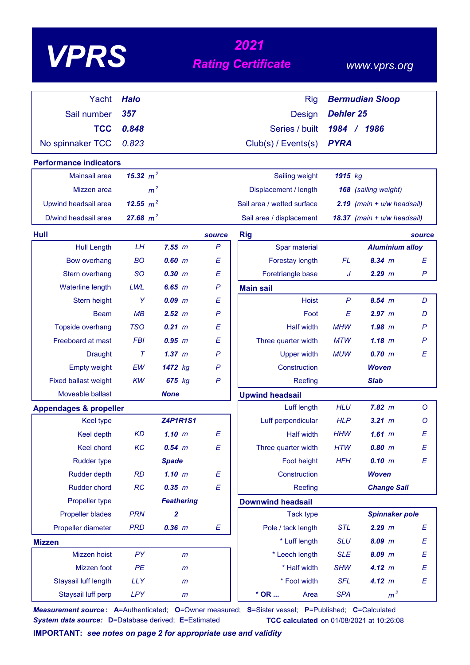| <b>VPRS</b>     |                                                                                                                                                                                                                                                                                                                                                                                                                                   | 2021<br><b>Rating Certificate</b>                       |                |  |  |
|-----------------|-----------------------------------------------------------------------------------------------------------------------------------------------------------------------------------------------------------------------------------------------------------------------------------------------------------------------------------------------------------------------------------------------------------------------------------|---------------------------------------------------------|----------------|--|--|
| Yacht Halo      |                                                                                                                                                                                                                                                                                                                                                                                                                                   | Rig                                                     | $\overline{B}$ |  |  |
| Sail number 357 |                                                                                                                                                                                                                                                                                                                                                                                                                                   | Design D                                                |                |  |  |
| TCC             | 0.848                                                                                                                                                                                                                                                                                                                                                                                                                             | Series / built 1                                        |                |  |  |
|                 | $\begin{array}{ccc}\n\mathbf{F} & \mathbf{A} & \mathbf{A} & \mathbf{A} & \mathbf{A} & \mathbf{A} & \mathbf{A} & \mathbf{A} & \mathbf{A} & \mathbf{A} & \mathbf{A} & \mathbf{A} & \mathbf{A} & \mathbf{A} & \mathbf{A} & \mathbf{A} & \mathbf{A} & \mathbf{A} & \mathbf{A} & \mathbf{A} & \mathbf{A} & \mathbf{A} & \mathbf{A} & \mathbf{A} & \mathbf{A} & \mathbf{A} & \mathbf{A} & \mathbf{A} & \mathbf{A} & \mathbf{A} & \math$ | $\sim$ $\sim$ $\sim$ $\sim$ $\sim$ $\sim$ $\sim$ $\sim$ |                |  |  |

 *www.vprs.org*

| Yacht                             | <b>Halo</b> |                   |                           | <b>Rig</b>                     |                  | <b>Bermudian Sloop</b>         |              |
|-----------------------------------|-------------|-------------------|---------------------------|--------------------------------|------------------|--------------------------------|--------------|
| Sail number                       | 357         |                   |                           | <b>Design</b>                  | <b>Dehler 25</b> |                                |              |
| <b>TCC</b>                        | 0.848       |                   |                           | Series / built                 | 1984 / 1986      |                                |              |
| No spinnaker TCC                  | 0.823       |                   |                           | Club(s) / Events(s)            | <b>PYRA</b>      |                                |              |
| <b>Performance indicators</b>     |             |                   |                           |                                |                  |                                |              |
| Mainsail area                     | 15.32 $m^2$ |                   |                           | Sailing weight                 | 1915 kg          |                                |              |
| Mizzen area                       |             | m <sup>2</sup>    |                           | Displacement / length          |                  | 168 (sailing weight)           |              |
| Upwind headsail area              | 12.55 $m^2$ |                   |                           | Sail area / wetted surface     |                  | $2.19$ (main + $u/w$ headsail) |              |
| D/wind headsail area              | 27.68 $m^2$ |                   |                           | Sail area / displacement       |                  | 18.37 (main + u/w headsail)    |              |
| Hull                              |             |                   | source                    | <b>Rig</b>                     |                  |                                | source       |
| <b>Hull Length</b>                | LH          | 7.55 m            | $\mathsf{P}$              | Spar material                  |                  | <b>Aluminium alloy</b>         |              |
| <b>Bow overhang</b>               | <b>BO</b>   | $0.60$ m          | Ε                         | Forestay length                | FL.              | 8.34 m                         | Е            |
| Stern overhang                    | <b>SO</b>   | 0.30 m            | $\boldsymbol{\mathsf{E}}$ | Foretriangle base              | J                | $2.29$ $m$                     | $\mathsf{P}$ |
| <b>Waterline length</b>           | LWL         | 6.65 m            | $\mathsf{P}$              | <b>Main sail</b>               |                  |                                |              |
| Stern height                      | Y           | $0.09$ $m$        | Ε                         | Hoist                          | $\mathsf{P}$     | 8.54 m                         | D            |
| <b>Beam</b>                       | MB          | 2.52 m            | $\mathsf{P}$              | Foot                           | E                | 2.97 m                         | D            |
| Topside overhang                  | <b>TSO</b>  | $0.21$ m          | E                         | <b>Half width</b>              | <b>MHW</b>       | $1.98$ $m$                     | P            |
| Freeboard at mast                 | <b>FBI</b>  | 0.95 m            | Ε                         | Three quarter width            | <b>MTW</b>       | $1.18$ m                       | $\mathsf{P}$ |
| <b>Draught</b>                    | $\tau$      | 1.37~m            | $\mathsf{P}$              | <b>Upper width</b>             | <b>MUW</b>       | 0.70 m                         | E            |
| <b>Empty weight</b>               | EW          | 1472 kg           | $\mathsf{P}$              | Construction                   |                  | <b>Woven</b>                   |              |
| <b>Fixed ballast weight</b>       | KW          | 675 kg            | $\mathsf{P}$              | Reefing                        |                  | <b>Slab</b>                    |              |
| Moveable ballast                  |             | <b>None</b>       |                           | <b>Upwind headsail</b>         |                  |                                |              |
| <b>Appendages &amp; propeller</b> |             |                   |                           | Luff length                    | <b>HLU</b>       | 7.82 m                         | $\circ$      |
| <b>Keel type</b>                  |             | <b>Z4P1R1S1</b>   |                           | Luff perpendicular             | <b>HLP</b>       | $3.21$ m                       | Ο            |
| <b>Keel depth</b>                 | <b>KD</b>   | $1.10$ m          | E                         | <b>Half width</b>              | <b>HHW</b>       | $1.61$ m                       | E            |
| Keel chord                        | KC          | $0.54$ $m$        | E                         | Three quarter width            | <b>HTW</b>       | $0.80$ m                       | E            |
| <b>Rudder type</b>                |             | <b>Spade</b>      |                           | Foot height                    | <b>HFH</b>       | 0.10 m                         | E            |
| <b>Rudder depth</b>               | RD          | 1.10 m            | Ε                         | Construction                   |                  | <b>Woven</b>                   |              |
| <b>Rudder chord</b>               | RC          | 0.35 m            | Ε                         | Reefing                        |                  | <b>Change Sail</b>             |              |
| Propeller type                    |             | <b>Feathering</b> |                           | <b>Downwind headsail</b>       |                  |                                |              |
| Propeller blades                  | <b>PRN</b>  | 2                 |                           | <b>Tack type</b>               |                  | <b>Spinnaker pole</b>          |              |
| Propeller diameter                | <b>PRD</b>  | $0.36$ $m$        | $\boldsymbol{E}$          | Pole / tack length             | <b>STL</b>       | $2.29$ m                       | E            |
| <b>Mizzen</b>                     |             |                   |                           | * Luff length                  | <b>SLU</b>       | $8.09$ m                       | E            |
| Mizzen hoist                      | PY          | m                 |                           | * Leech length                 | <b>SLE</b>       | $8.09$ $m$                     | E            |
| Mizzen foot                       | PE          | m                 |                           | * Half width                   | <b>SHW</b>       | 4.12 m                         | Е            |
| Staysail luff length              | <b>LLY</b>  | $\mathsf{m}$      |                           | * Foot width                   | <b>SFL</b>       | 4.12 m                         | E            |
| Staysail luff perp                | LPY         | $\,m$             |                           | $^{\star}$ OR $\ldots$<br>Area | <b>SPA</b>       | m <sup>2</sup>                 |              |

*Measurement source* **: A**=Authenticated; **O**=Owner measured; **S**=Sister vessel; **P**=Published; **C**=Calculated *System data source:* **D**=Database derived; **E**=Estimated **TCC calculated** on 01/08/2021 at 10:26:08

**IMPORTANT:** *see notes on page 2 for appropriate use and validity*